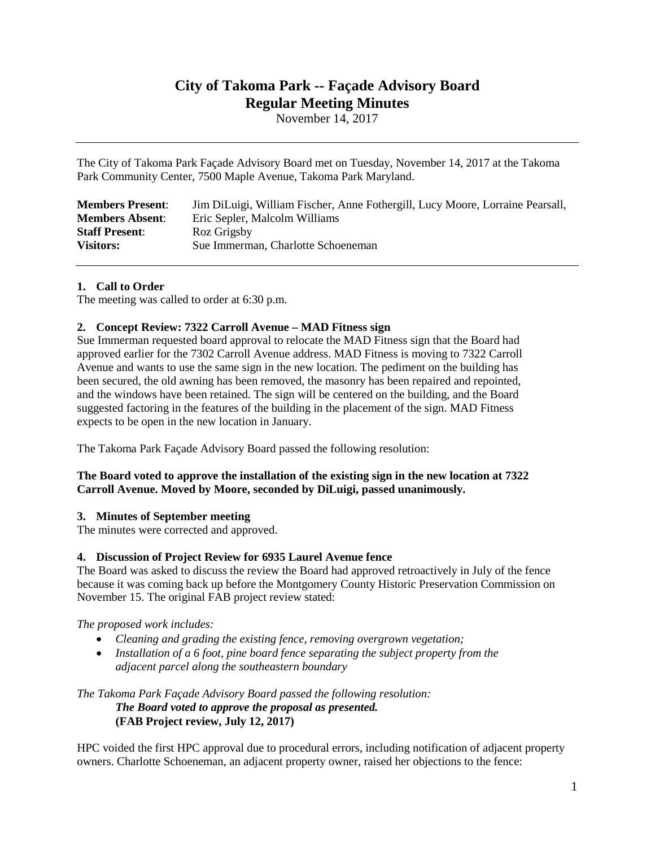# **City of Takoma Park -- Façade Advisory Board Regular Meeting Minutes**

November 14, 2017

The City of Takoma Park Façade Advisory Board met on Tuesday, November 14, 2017 at the Takoma Park Community Center, 7500 Maple Avenue, Takoma Park Maryland.

| <b>Members Present:</b> | Jim DiLuigi, William Fischer, Anne Fothergill, Lucy Moore, Lorraine Pearsall, |
|-------------------------|-------------------------------------------------------------------------------|
| <b>Members Absent:</b>  | Eric Sepler, Malcolm Williams                                                 |
| <b>Staff Present:</b>   | Roz Grigsby                                                                   |
| <b>Visitors:</b>        | Sue Immerman, Charlotte Schoeneman                                            |

## **1. Call to Order**

The meeting was called to order at 6:30 p.m.

## **2. Concept Review: 7322 Carroll Avenue – MAD Fitness sign**

Sue Immerman requested board approval to relocate the MAD Fitness sign that the Board had approved earlier for the 7302 Carroll Avenue address. MAD Fitness is moving to 7322 Carroll Avenue and wants to use the same sign in the new location. The pediment on the building has been secured, the old awning has been removed, the masonry has been repaired and repointed, and the windows have been retained. The sign will be centered on the building, and the Board suggested factoring in the features of the building in the placement of the sign. MAD Fitness expects to be open in the new location in January.

The Takoma Park Façade Advisory Board passed the following resolution:

## **The Board voted to approve the installation of the existing sign in the new location at 7322 Carroll Avenue. Moved by Moore, seconded by DiLuigi, passed unanimously.**

## **3. Minutes of September meeting**

The minutes were corrected and approved.

## **4. Discussion of Project Review for 6935 Laurel Avenue fence**

The Board was asked to discuss the review the Board had approved retroactively in July of the fence because it was coming back up before the Montgomery County Historic Preservation Commission on November 15. The original FAB project review stated:

*The proposed work includes:*

- *Cleaning and grading the existing fence, removing overgrown vegetation;*
- *Installation of a 6 foot, pine board fence separating the subject property from the adjacent parcel along the southeastern boundary*

*The Takoma Park Façade Advisory Board passed the following resolution: The Board voted to approve the proposal as presented.* **(FAB Project review, July 12, 2017)**

HPC voided the first HPC approval due to procedural errors, including notification of adjacent property owners. Charlotte Schoeneman, an adjacent property owner, raised her objections to the fence: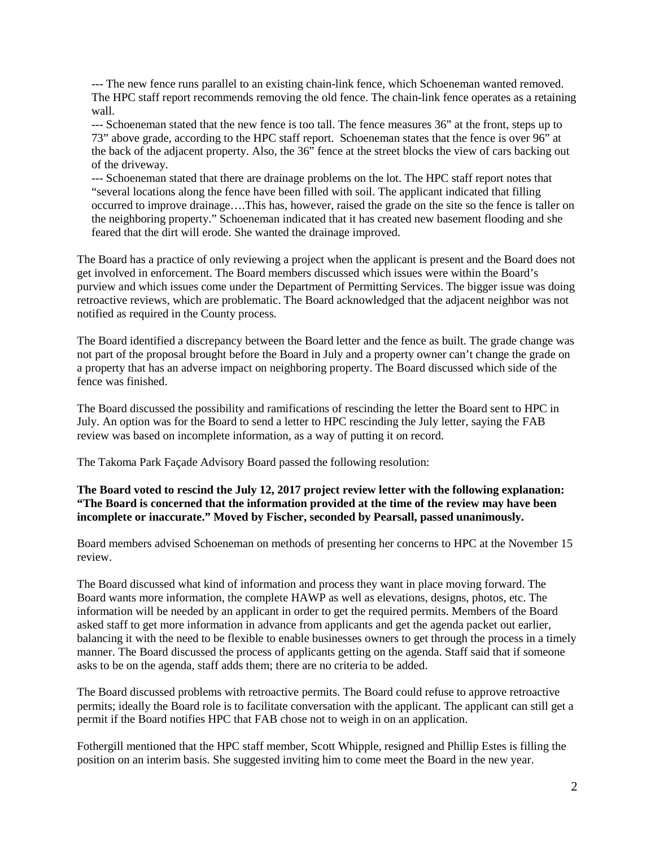--- The new fence runs parallel to an existing chain-link fence, which Schoeneman wanted removed. The HPC staff report recommends removing the old fence. The chain-link fence operates as a retaining wall.

--- Schoeneman stated that the new fence is too tall. The fence measures 36" at the front, steps up to 73" above grade, according to the HPC staff report. Schoeneman states that the fence is over 96" at the back of the adjacent property. Also, the 36" fence at the street blocks the view of cars backing out of the driveway.

--- Schoeneman stated that there are drainage problems on the lot. The HPC staff report notes that "several locations along the fence have been filled with soil. The applicant indicated that filling occurred to improve drainage….This has, however, raised the grade on the site so the fence is taller on the neighboring property." Schoeneman indicated that it has created new basement flooding and she feared that the dirt will erode. She wanted the drainage improved.

The Board has a practice of only reviewing a project when the applicant is present and the Board does not get involved in enforcement. The Board members discussed which issues were within the Board's purview and which issues come under the Department of Permitting Services. The bigger issue was doing retroactive reviews, which are problematic. The Board acknowledged that the adjacent neighbor was not notified as required in the County process.

The Board identified a discrepancy between the Board letter and the fence as built. The grade change was not part of the proposal brought before the Board in July and a property owner can't change the grade on a property that has an adverse impact on neighboring property. The Board discussed which side of the fence was finished.

The Board discussed the possibility and ramifications of rescinding the letter the Board sent to HPC in July. An option was for the Board to send a letter to HPC rescinding the July letter, saying the FAB review was based on incomplete information, as a way of putting it on record.

The Takoma Park Façade Advisory Board passed the following resolution:

## **The Board voted to rescind the July 12, 2017 project review letter with the following explanation: "The Board is concerned that the information provided at the time of the review may have been incomplete or inaccurate." Moved by Fischer, seconded by Pearsall, passed unanimously.**

Board members advised Schoeneman on methods of presenting her concerns to HPC at the November 15 review.

The Board discussed what kind of information and process they want in place moving forward. The Board wants more information, the complete HAWP as well as elevations, designs, photos, etc. The information will be needed by an applicant in order to get the required permits. Members of the Board asked staff to get more information in advance from applicants and get the agenda packet out earlier, balancing it with the need to be flexible to enable businesses owners to get through the process in a timely manner. The Board discussed the process of applicants getting on the agenda. Staff said that if someone asks to be on the agenda, staff adds them; there are no criteria to be added.

The Board discussed problems with retroactive permits. The Board could refuse to approve retroactive permits; ideally the Board role is to facilitate conversation with the applicant. The applicant can still get a permit if the Board notifies HPC that FAB chose not to weigh in on an application.

Fothergill mentioned that the HPC staff member, Scott Whipple, resigned and Phillip Estes is filling the position on an interim basis. She suggested inviting him to come meet the Board in the new year.